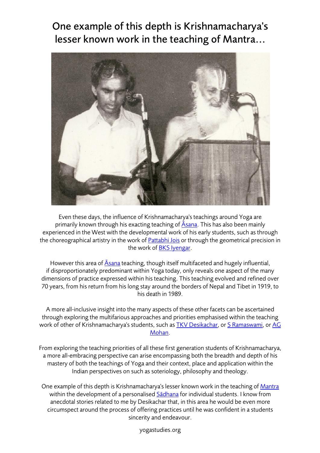## One example of this depth is Krishnamacharya's lesser known work in the teaching of Mantra...



Even these days, the influence of Krishnamacharya's teachings around Yoga are primarily known through his exacting teaching of **Asana**. This has also been mainly experienced in the West with the developmental work of his early students, such as through the choreographical artistry in the work of **Pattabhi Jois** or through the geometrical precision in the work of **BKS** Iyengar.

However this area of **Asana** teaching, though itself multifaceted and hugely influential, if disproportionately predominant within Yoga today, only reveals one aspect of the many dimensions of practice expressed within his teaching. This teaching evolved and refined over 70 years, from his return from his long stay around the borders of Nepal and Tibet in 1919, to his death in 1989.

A more all-inclusive insight into the many aspects of these other facets can be ascertained through exploring the multifarious approaches and priorities emphasised within the teaching work of other of Krishnamacharya's students, such as **TKV Desikachar**, or *S Ramaswami*, or AG Mohan.

From exploring the teaching priorities of all these first generation students of Krishnamacharya, a more all-embracing perspective can arise encompassing both the breadth and depth of his mastery of both the teachings of Yoga and their context, place and application within the Indian perspectives on such as soteriology, philosophy and theology.

One example of this depth is Krishnamacharya's lesser known work in the teaching of Mantra within the development of a personalised Sadhana for individual students. I know from anecdotal stories related to me by Desikachar that, in this area he would be even more circumspect around the process of offering practices until he was confident in a students sincerity and endeavour.

yogastudies.org